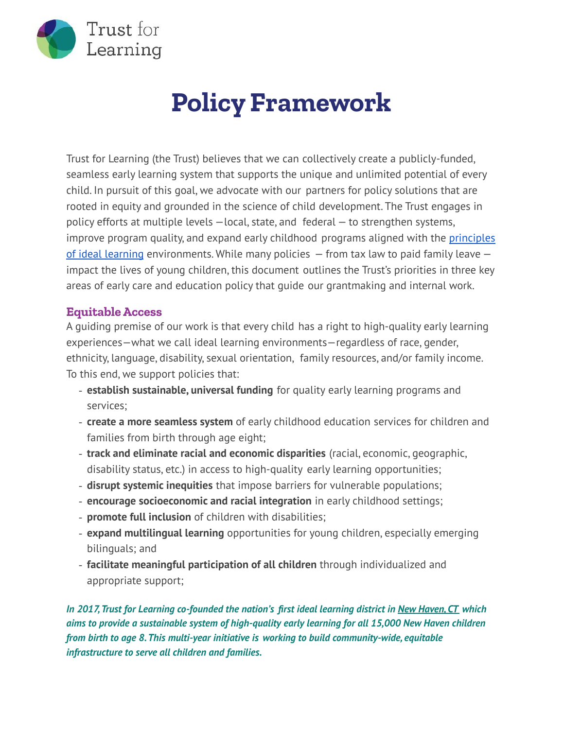

## **Policy Framework**

Trust for Learning (the Trust) believes that we can collectively create a publicly-funded, seamless early learning system that supports the unique and unlimited potential of every child. In pursuit of this goal, we advocate with our partners for policy solutions that are rooted in equity and grounded in the science of child development. The Trust engages in policy efforts at multiple levels —local, state, and federal — to strengthen systems, improve program quality, and expand early childhood programs aligned with the [principles](https://trustforlearning.org/resource/principles-of-ideal-learning/) of ideal [learning](https://trustforlearning.org/resource/principles-of-ideal-learning/) environments. While many policies  $-$  from tax law to paid family leave  $$ impact the lives of young children, this document outlines the Trust's priorities in three key areas of early care and education policy that guide our grantmaking and internal work.

## **EquitableAccess**

A guiding premise of our work is that every child has a right to high-quality early learning experiences—what we call ideal learning environments—regardless of race, gender, ethnicity, language, disability, sexual orientation, family resources, and/or family income. To this end, we support policies that:

- **establish sustainable, universal funding** for quality early learning programs and services;
- **create a more seamless system** of early childhood education services for children and families from birth through age eight;
- **track and eliminate racial and economic disparities** (racial, economic, geographic, disability status, etc.) in access to high-quality early learning opportunities;
- **disrupt systemic inequities** that impose barriers for vulnerable populations;
- **encourage socioeconomic and racial integration** in early childhood settings;
- **promote full inclusion** of children with disabilities;
- **expand multilingual learning** opportunities for young children, especially emerging bilinguals; and
- **facilitate meaningful participation of all children** through individualized and appropriate support;

*In 2017,Trust for Learning co-founded the nation's first ideal learning district in New [Haven,CT](https://nhchild.org/) which aims to provide a sustainable system of high-quality early learning for all 15,000 New Haven children from birth to age 8.This multi-year initiative is working to build community-wide, equitable infrastructure to serve all children and families.*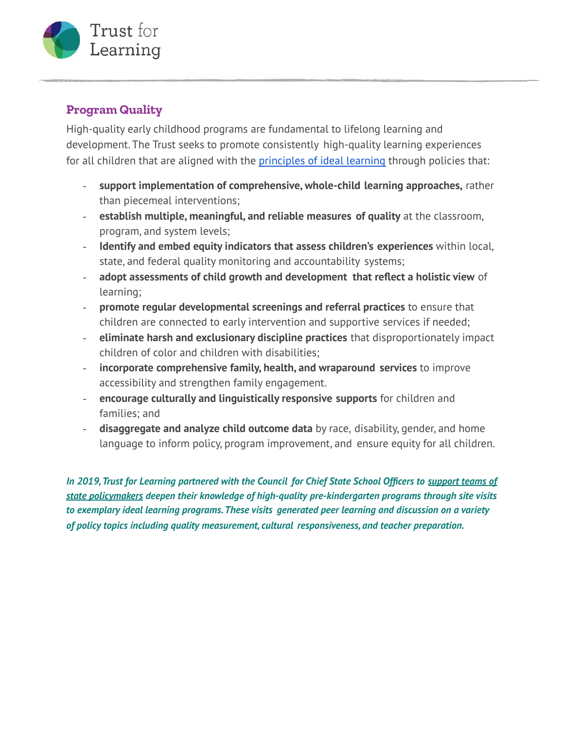

## **Program Quality**

High-quality early childhood programs are fundamental to lifelong learning and development. The Trust seeks to promote consistently high-quality learning experiences for all children that are aligned with the [principles](https://trustforlearning.org/resource/principles-of-ideal-learning/) of ideal learning through policies that:

- **support implementation of comprehensive, whole-child learning approaches,** rather than piecemeal interventions;
- **establish multiple, meaningful, and reliable measures of quality** at the classroom, program, and system levels;
- **Identify and embed equity indicators that assess children's experiences** within local, state, and federal quality monitoring and accountability systems;
- **adopt assessments of child growth and development that reflect a holistic view** of learning;
- **promote regular developmental screenings and referral practices** to ensure that children are connected to early intervention and supportive services if needed;
- **eliminate harsh and exclusionary discipline practices** that disproportionately impact children of color and children with disabilities;
- **incorporate comprehensive family, health, and wraparound services** to improve accessibility and strengthen family engagement.
- **encourage culturally and linguistically responsive supports** for children and families; and
- **disaggregate and analyze child outcome data** by race, disability, gender, and home language to inform policy, program improvement, and ensure equity for all children.

*In 2019,Trust for Learning partnered with the Council for Chief State School Officers to [support](https://trustforlearning.org/resource/promoting-high-quality-pre-k/) teams of state [policymakers](https://trustforlearning.org/resource/promoting-high-quality-pre-k/) deepen their knowledge of high-quality pre-kindergarten programs through site visits to exemplary ideal learning programs.These visits generated peer learning and discussion on a variety of policy topics including quality measurement, cultural responsiveness, and teacher preparation.*